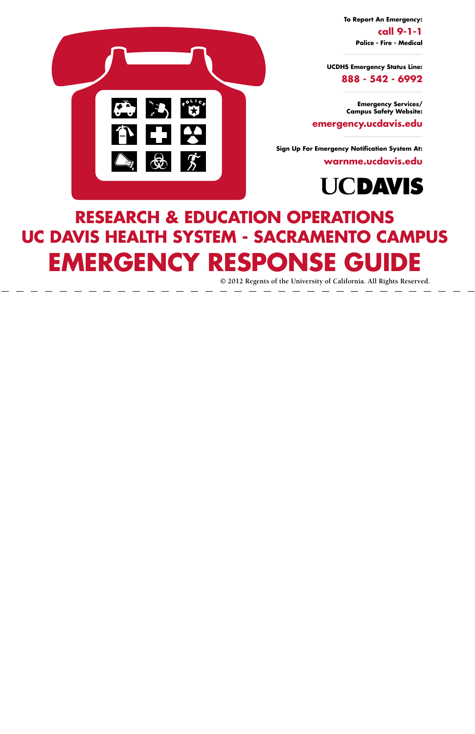## **Research & Education operations UC Davis health system - sacramento cAMPUS Emergency response guide**

**© 2012 Regents of the University of California. All Rights Reserved.**



**To Report An Emergency: call 9-1-1 Police - Fire - Medical**

**UCDHS Emergency Status Line:**

**888 - 542 - 6992**

**Emergency Services/ Campus Safety Website:** 

**emergency.ucdavis.edu**

**Sign Up For Emergency Notification System At:**

**warnme.ucdavis.edu**

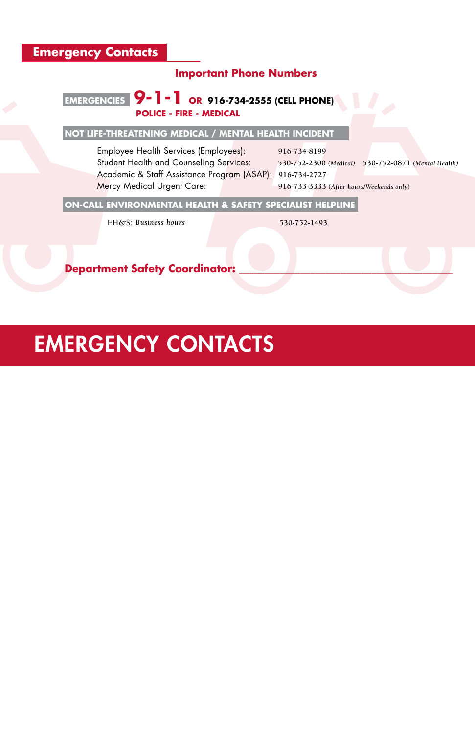#### **Important Phone Numbers**

#### **emergencies 9-1-1 or 916-734-2555 (cell phone) Police - fire - medical**

#### **Not Life-Threatening Medical / mental health Incident**

Student Health and Counseling Services: **530-752-2300** *(Medical)* **530-752-0871** *(Mental Health)*

Employee Health Services (Employees): **916-734-8199** Academic & Staff Assistance Program (ASAP): **916-734-2727**  Mercy Medical Urgent Care: **916-733-3333 (***After hours/Weekends only***)**

#### **On-Call environmental health & safety specialist helpline**

EH&S: *Business hours* **530-752-1493**

**Department Safety Coordinator:** 

## **EMERGENCY CONTACTS**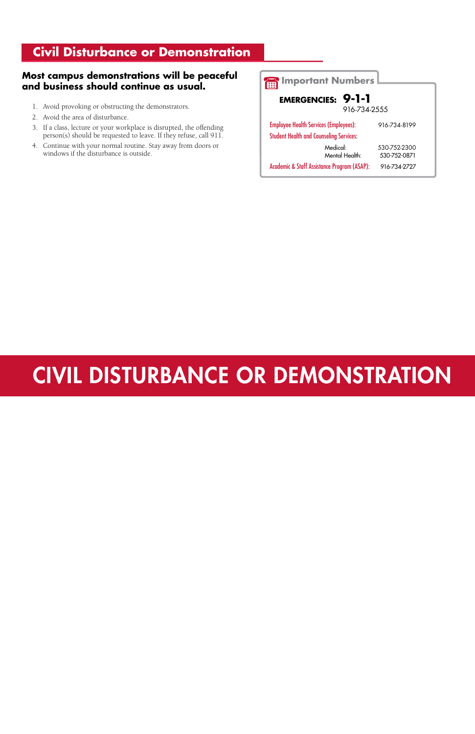#### **Civil Disturbance or Demonstration**

#### **Most campus demonstrations will be peaceful and business should continue as usual.**

- 1. Avoid provoking or obstructing the demonstrators.
- 2. Avoid the area of disturbance.
- 3. If a class, lecture or your workplace is disrupted, the offending person(s) should be requested to leave. If they refuse, call 911.
- 4. Continue with your normal routine. Stay away from doors or windows if the disturbance is outside.

| <b>Important Numbers</b>                                                                       |                              |  |
|------------------------------------------------------------------------------------------------|------------------------------|--|
| <b>EMERGENCIES: 9-1-1</b><br>916-734-2555                                                      |                              |  |
| <b>Employee Health Services (Employees):</b><br><b>Student Health and Counseling Services:</b> | 916-734-8199                 |  |
| Medical:<br>Mental Health:                                                                     | 530-752-2300<br>530-752-0871 |  |
| <b>Academic &amp; Staff Assistance Program (ASAP):</b>                                         | 916-734-2727                 |  |

## Civil Disturbance or Demonstration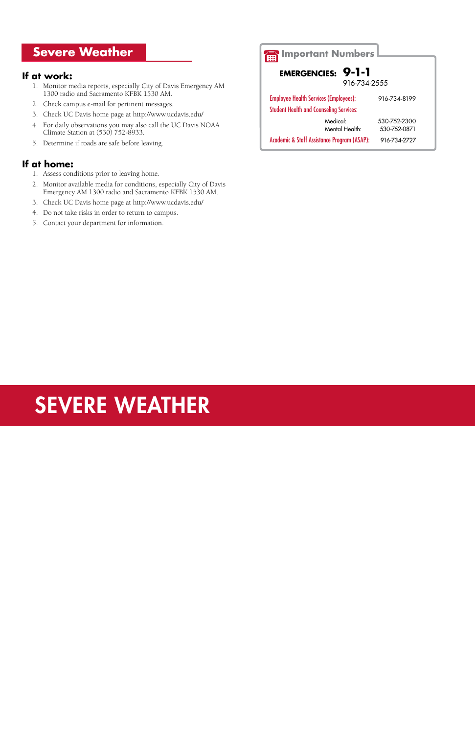#### **Severe Weather**

#### **If at work:**

- 1. Monitor media reports, especially City of Davis Emergency AM 1300 radio and Sacramento KFBK 1530 AM.
- 2. Check campus e-mail for pertinent messages.
- 3. Check UC Davis home page at http://www.ucdavis.edu/
- 4. For daily observations you may also call the UC Davis NOAA Climate Station at (530) 752-8933.
- 5. Determine if roads are safe before leaving.

#### **If at home:**

- 1. Assess conditions prior to leaving home.
- 2. Monitor available media for conditions, especially City of Davis Emergency AM 1300 radio and Sacramento KFBK 1530 AM.
- 3. Check UC Davis home page at http://www.ucdavis.edu/
- 4. Do not take risks in order to return to campus.
- 5. Contact your department for information.

## SEVERE WEATHER

| <b>Important Numbers</b>                                                                       |                              |  |
|------------------------------------------------------------------------------------------------|------------------------------|--|
|                                                                                                |                              |  |
| 9-1-1<br><b>EMERGENCIES:</b>                                                                   |                              |  |
| 916-734-2555                                                                                   |                              |  |
| <b>Employee Health Services (Employees):</b><br><b>Student Health and Counseling Services:</b> | 916-734-8199                 |  |
| Medical:<br>Mental Health:                                                                     | 530-752-2300<br>530-752-0871 |  |
| <b>Academic &amp; Staff Assistance Program (ASAP):</b>                                         | 916-734-2727                 |  |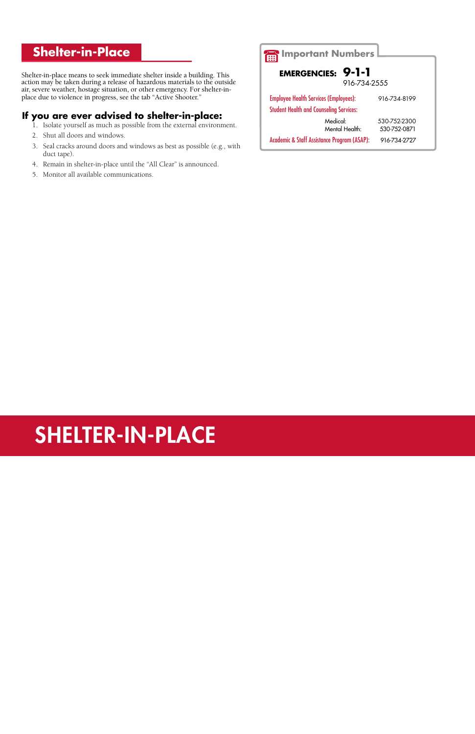#### **Shelter-in-Place**

Shelter-in-place means to seek immediate shelter inside a building. This action may be taken during a release of hazardous materials to the outside air, severe weather, hostage situation, or other emergency. For shelter-inplace due to violence in progress, see the tab "Active Shooter."

#### **If you are ever advised to shelter-in-place:**

- 1. Isolate yourself as much as possible from the external environment.
- 2. Shut all doors and windows.
- 3. Seal cracks around doors and windows as best as possible (e.g., with duct tape).
- 4. Remain in shelter-in-place until the "All Clear" is announced.
- 5. Monitor all available communications.

## SHELTER-IN-PLACE

| Important Numbers                                                                              |                              |
|------------------------------------------------------------------------------------------------|------------------------------|
| <b>EMERGENCIES: 9-1-1</b><br>916-734-2555                                                      |                              |
| <b>Employee Health Services (Employees):</b><br><b>Student Health and Counseling Services:</b> | 916-734-8199                 |
| Medical:<br>Mental Health:                                                                     | 530-752-2300<br>530-752-0871 |
| <b>Academic &amp; Staff Assistance Program (ASAP):</b><br>916-734-2727                         |                              |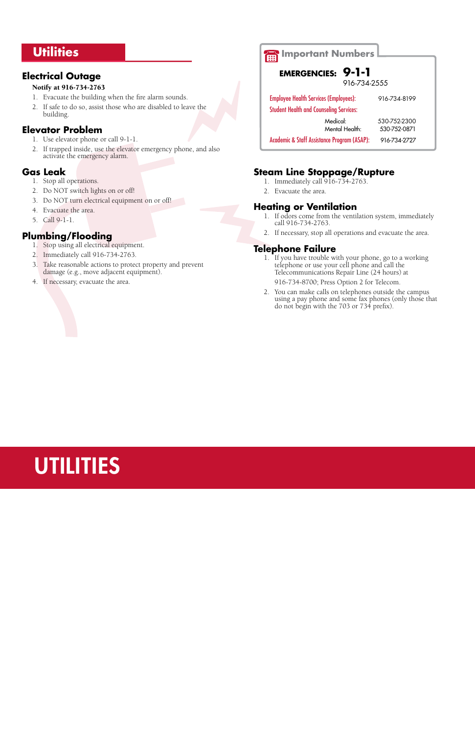## UTILITIES

#### **Utilities**

#### **Electrical Outage**

#### Notify at 916-734-2763

- 1. Evacuate the building when the fire alarm sounds.
- 2. If safe to do so, assist those who are disabled to leave the building.

#### **Elevator Problem**

- 1. Use elevator phone or call 9-1-1.
- 2. If trapped inside, use the elevator emergency phone, and also activate the emergency alarm.

#### **Gas Leak**

- 1. Stop all operations.
- 2. Do NOT switch lights on or off!
- 3. Do NOT turn electrical equipment on or off!
- 4. Evacuate the area.
- 5. Call 9-1-1.

#### **Plumbing/Flooding**

- 1. Stop using all electrical equipment.
- 2. Immediately call 916-734-2763.
- 3. Take reasonable actions to protect property and prevent damage (e.g., move adjacent equipment).
- 4. If necessary, evacuate the area.

#### **Steam Line Stoppage/Rupture**

- 1. Immediately call 916-734-2763.
- 2. Evacuate the area.

#### **Heating or Ventilation**

- 1. If odors come from the ventilation system, immediately call 916-734-2763.
- 2. If necessary, stop all operations and evacuate the area.

#### **Telephone Failure**

- 1. If you have trouble with your phone, go to a working telephone or use your cell phone and call the Telecommunications Repair Line (24 hours) at 916-734-8700; Press Option 2 for Telecom.
- 2. You can make calls on telephones outside the campus using a pay phone and some fax phones (only those that do not begin with the 703 or 734 prefix).

#### **Important Numbers**

#### **EMERGENCIES: 9-1-1**

916-734-2555

Employee Health Services (Employees): 916-734-8199

Student Health and Counseling Services:

Medical: 530-752-2300 Mental Health: 530-752-0871

Academic & Staff Assistance Program (ASAP): 916-734-2727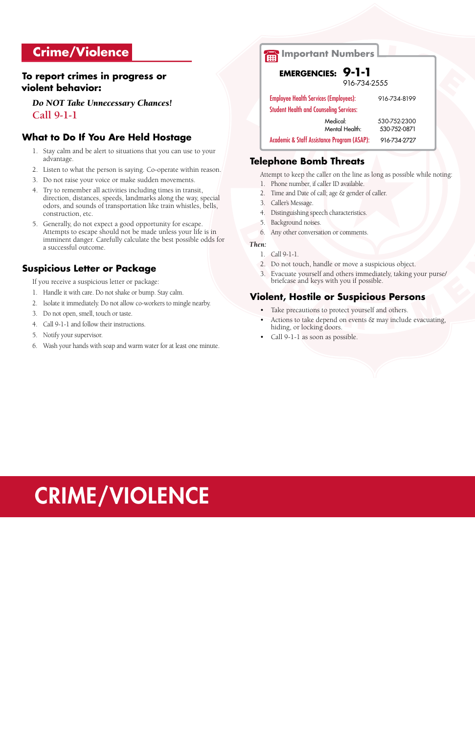# CRIME/VIOLENCE

#### **Crime/Violence**

#### **To report crimes in progress or violent behavior:**

*Do NOT Take Unnecessary Chances!* **Call 9-1-1**

#### **What to Do If You Are Held Hostage**

- 1. Stay calm and be alert to situations that you can use to your advantage.
- 2. Listen to what the person is saying. Co-operate within reason.
- 3. Do not raise your voice or make sudden movements.
- 4. Try to remember all activities including times in transit, direction, distances, speeds, landmarks along the way, special odors, and sounds of transportation like train whistles, bells, construction, etc.
- 5. Generally, do not expect a good opportunity for escape. Attempts to escape should not be made unless your life is in imminent danger. Carefully calculate the best possible odds for a successful outcome.

#### **Suspicious Letter or Package**

If you receive a suspicious letter or package:

- 1. Handle it with care. Do not shake or bump. Stay calm.
- 2. Isolate it immediately. Do not allow co-workers to mingle nearby.
- 3. Do not open, smell, touch or taste.
- 4. Call 9-1-1 and follow their instructions.
- 5. Notify your supervisor.
- 6. Wash your hands with soap and warm water for at least one minute.

#### **Telephone Bomb Threats**

Attempt to keep the caller on the line as long as possible while noting:

- 1. Phone number, if caller ID available.
- 2. Time and Date of call; age & gender of caller.
- 3. Caller's Message.
- 4. Distinguishing speech characteristics.
- 5. Background noises.
- 6. Any other conversation or comments.

#### *Then:*

- 1. Call 9-1-1.
- 2. Do not touch, handle or move a suspicious object.
- 3. Evacuate yourself and others immediately, taking your purse/ briefcase and keys with you if possible.

#### **Violent, Hostile or Suspicious Persons**

- Take precautions to protect yourself and others.
- Actions to take depend on events  $\&$  may include evacuating, hiding, or locking doors.
- Call 9-1-1 as soon as possible.

#### **Important Numbers**

 **EMERGENCIES: 9-1-1**

916-734-2555

Employee Health Services (Employees): 916-734-8199 Student Health and Counseling Services:

Medical: 530-752-2300 Mental Health: 530-752-0871 Academic & Staff Assistance Program (ASAP): 916-734-2727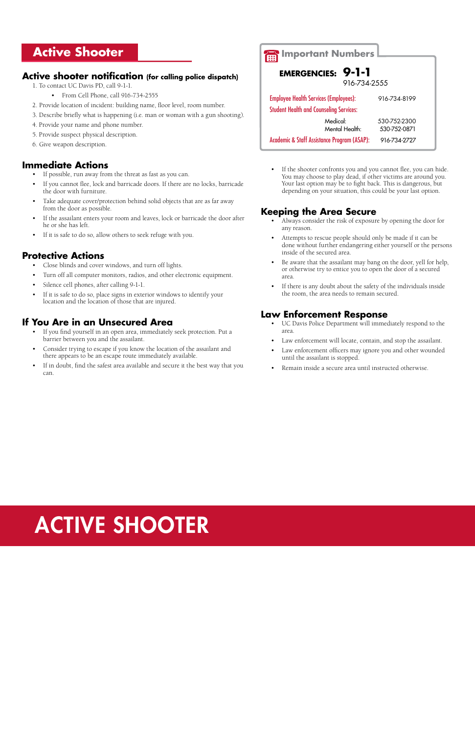#### **Active Shooter**

#### **Active shooter notification (for calling police dispatch)**

- • If possible, run away from the threat as fast as you can.
- If you cannot flee, lock and barricade doors. If there are no locks, barricade the door with furniture.
- Take adequate cover/protection behind solid objects that are as far away from the door as possible.
- If the assailant enters your room and leaves, lock or barricade the door after he or she has left.
- If it is safe to do so, allow others to seek refuge with you.
- 1. To contact UC Davis PD, call 9-1-1.
	- From Cell Phone, call 916-734-2555
- 2. Provide location of incident: building name, floor level, room number.
- 3. Describe briefly what is happening (i.e. man or woman with a gun shooting).
- 4. Provide your name and phone number.
- 5. Provide suspect physical description.
- 6. Give weapon description.

#### **Immediate Actions**

#### **Protective Actions**

If the shooter confronts you and you cannot flee, you can hide. You may choose to play dead, if other victims are around you. Your last option may be to fight back. This is dangerous, but depending on your situation, this could be your last option.

- • Close blinds and cover windows, and turn off lights.
- • Turn off all computer monitors, radios, and other electronic equipment.
- Silence cell phones, after calling 9-1-1.
- If it is safe to do so, place signs in exterior windows to identify your location and the location of those that are injured.
- Always consider the risk of exposure by opening the door for any reason.
- Attempts to rescue people should only be made if it can be done without further endangering either yourself or the persons inside of the secured area.
- Be aware that the assailant may bang on the door, yell for help, or otherwise try to entice you to open the door of a secured area.
- If there is any doubt about the safety of the individuals inside the room, the area needs to remain secured.

- • UC Davis Police Department will immediately respond to the area.
- Law enforcement will locate, contain, and stop the assailant.
- Law enforcement officers may ignore you and other wounded until the assailant is stopped.
- Remain inside a secure area until instructed otherwise.

#### **If You Are in an Unsecured Area**

- • If you find yourself in an open area, immediately seek protection. Put a barrier between you and the assailant.
- Consider trying to escape if you know the location of the assailant and there appears to be an escape route immediately available.
- If in doubt, find the safest area available and secure it the best way that you can.

#### **Keeping the Area Secure**

| <b>Important Numbers</b>                               |                |              |  |
|--------------------------------------------------------|----------------|--------------|--|
|                                                        |                |              |  |
| 9-1-1<br><b>EMERGENCIES:</b>                           |                |              |  |
| 916-734-2555                                           |                |              |  |
| <b>Employee Health Services (Employees):</b>           |                | 916-734-8199 |  |
| <b>Student Health and Counseling Services:</b>         |                |              |  |
|                                                        | Medical:       | 530-752-2300 |  |
|                                                        | Mental Health: | 530-752-0871 |  |
| <b>Academic &amp; Staff Assistance Program (ASAP):</b> |                | 916-734-2727 |  |

#### **Law Enforcement Response**

## ACTIVE SHOOTER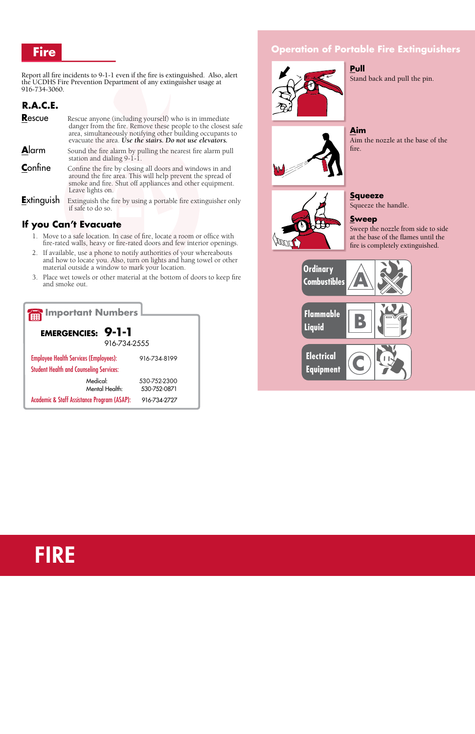#### **Fire**

#### Report all fire incidents to 9-1-1 even if the fire is extinguished. Also, alert the UCDHS Fire Prevention Department of any extinguisher usage at 916-734-3060.

#### **R.A.C.E.**

- **Rescue** Rescue anyone (including yourself) who is in immediate danger from the fire. Remove these people to the closest safe area, simultaneously notifying other building occupants to evacuate the area. *Use the stairs. Do not use elevators.*
- **Alarm** Sound the fire alarm by pulling the nearest fire alarm pull station and dialing 9-1-1.
- **Confine** Confine the fire by closing all doors and windows in and around the fire area. This will help prevent the spread of smoke and fire. Shut off appliances and other equipment. Leave lights on.
- **Extinguish** Extinguish the fire by using a portable fire extinguisher only if safe to do so.

#### **If you Can't Evacuate**

- 1. Move to a safe location. In case of fire, locate a room or office with fire-rated walls, heavy or fire-rated doors and few interior openings.
- 2. If available, use a phone to notify authorities of your whereabouts and how to locate you. Also, turn on lights and hang towel or other material outside a window to mark your location.
- 3. Place wet towels or other material at the bottom of doors to keep fire and smoke out.

#### **Operation of Portable Fire Extinguishers**



#### **Pull**

Stand back and pull the pin.

**Aim**

Aim the nozzle at the base of the



fire.

**Squeeze** Squeeze the handle.

#### **Sweep**

Sweep the nozzle from side to side at the base of the flames until the fire is completely extinguished.





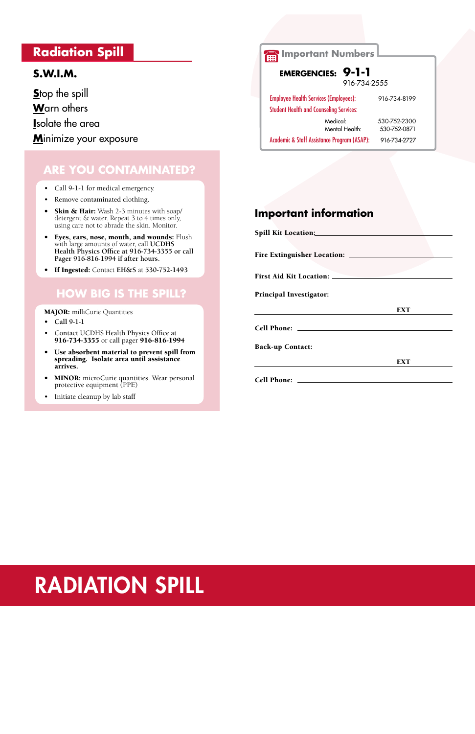#### **Radiation Spill**

#### **S.W.I.M.**

**S**top the spill **W**arn others **I**solate the area **M**inimize your exposure

#### **Are you contaminated?**

- Call 9-1-1 for medical emergency.
- • Remove contaminated clothing.
- Skin & Hair: Wash 2-3 minutes with soap/ detergent & water. Repeat 3 to 4 times only, using care not to abrade the skin. Monitor.
- • Eyes, ears, nose, mouth, and wounds: Flush with large amounts of water, call **UCDHS Health Physics Office at 916-734-3355 or call Pager 916-816-1994 if after hours.**
- • If Ingested: Contact **EH&S** at **530-752-1493**

- **• Call 9-1-1**
- Contact UCDHS Health Physics Office at 916-734-3355 or call pager 916-816-1994
- • Use absorbent material to prevent spill from spreading. Isolate area until assistance arrives.
- MINOR: microCurie quantities. Wear personal protective equipment (PPE)
- Initiate cleanup by lab staff

#### **How big is the spill?**

MAJOR: milliCurie Quantities

#### **Important information**

| First Aid Kit Location: _______ |            |
|---------------------------------|------------|
|                                 |            |
| <b>Principal Investigator:</b>  |            |
|                                 | <b>EXT</b> |
|                                 |            |
|                                 |            |
| <b>Back-up Contact:</b>         |            |
|                                 | <b>EXT</b> |
|                                 |            |

### RADIATION SPILL

| <b>Important Numbers</b>                               |              |  |
|--------------------------------------------------------|--------------|--|
|                                                        |              |  |
| <b>EMERGENCIES: 9-1-1</b>                              |              |  |
| 916-734-2555                                           |              |  |
| <b>Employee Health Services (Employees):</b>           | 916-734-8199 |  |
| <b>Student Health and Counseling Services:</b>         |              |  |
| Medical:                                               | 530-752-2300 |  |
| Mental Health:                                         | 530-752-0871 |  |
| <b>Academic &amp; Staff Assistance Program (ASAP):</b> | 916-734-2727 |  |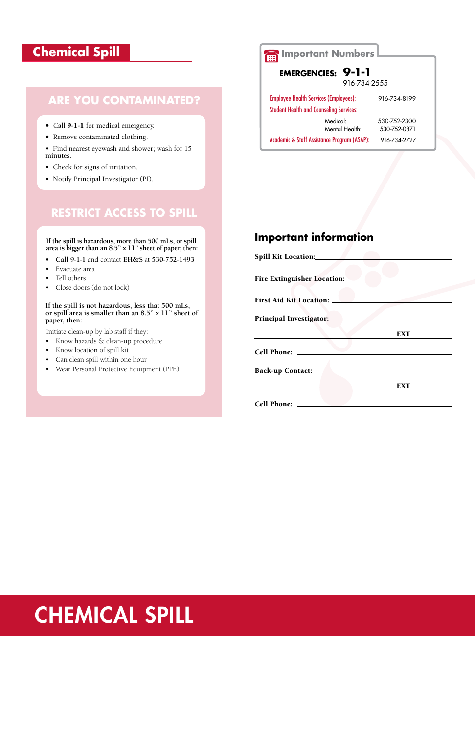#### **Chemical Spill**

#### **Important information**

| Spill Kit Location:                |            |
|------------------------------------|------------|
|                                    |            |
| <b>Fire Extinguisher Location:</b> |            |
| <b>First Aid Kit Location:</b>     |            |
| <b>Principal Investigator:</b>     |            |
|                                    | <b>EXT</b> |
| <b>Cell Phone:</b>                 |            |
| <b>Back-up Contact:</b>            |            |
|                                    | <b>EXT</b> |
| <b>Cell Phone:</b>                 |            |

### **CHEMICAL SPILL**

#### **Are you contaminated?**

- Call 9-1-1 for medical emergency.
- Remove contaminated clothing.

• Find nearest eyewash and shower; wash for 15 minutes.

- Check for signs of irritation.
- Notify Principal Investigator (PI).

#### **RESTRICT ACCESS TO SPILL**

**If the spill is hazardous, more than 500 mLs, or spill area is bigger than an 8.5" x 11" sheet of paper, then:**

- **• Call 9-1-1** and contact **EH&S** at **530-752-1493**
- • Evacuate area
- • Tell others
- • Close doors (do not lock)

**If the spill is not hazardous, less that 500 mLs, or spill area is smaller than an 8.5" x 11" sheet of paper, then:**

Initiate clean-up by lab staff if they:

- • Know hazards & clean-up procedure
- • Know location of spill kit
- • Can clean spill within one hour
- • Wear Personal Protective Equipment (PPE)

### **Important Numbers**

#### **EMERGENCIES: 9-1-1**

916-734-2555

| <b>Employee Health Services (Employees):</b>   |                | 916-734-8199 |
|------------------------------------------------|----------------|--------------|
| <b>Student Health and Counseling Services:</b> |                |              |
|                                                | Medical:       | 530-752-2300 |
|                                                | Mental Health: | 530-752-0871 |

Academic & Staff Assistance Program (ASAP): 916-734-2727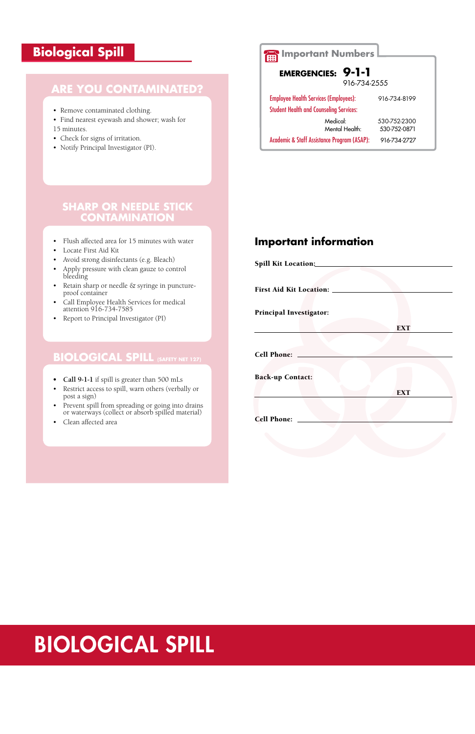#### **Biological Spill**

#### **Important information**

| Spill Kit Location:               |            |
|-----------------------------------|------------|
|                                   |            |
| <b>First Aid Kit Location: __</b> |            |
| <b>Principal Investigator:</b>    |            |
|                                   | <b>EXT</b> |
|                                   |            |
| <b>Cell Phone:</b>                |            |
| <b>Back-up Contact:</b>           |            |
|                                   | <b>EXT</b> |
| <b>Cell Phone:</b>                |            |
|                                   |            |

#### **Are you contaminated?**

- Remove contaminated clothing.
- Find nearest eyewash and shower; wash for 15 minutes.
- Check for signs of irritation.
- Notify Principal Investigator (PI).

#### **biological SPILL (Safety Net 127)**

- **• Call 9-1-1** if spill is greater than 500 mLs
- • Restrict access to spill, warn others (verbally or post a sign)
- • Prevent spill from spreading or going into drains or waterways (collect or absorb spilled material)
- • Clean affected area

#### **Sharp or Needle Stick Contamination**

- • Flush affected area for 15 minutes with water
- Locate First Aid Kit
- Avoid strong disinfectants (e.g. Bleach)
- • Apply pressure with clean gauze to control bleeding
- Retain sharp or needle & syringe in punctureproof container
- • Call Employee Health Services for medical attention 916-734-7585
- • Report to Principal Investigator (PI)



**Important Numbers**

| 9-1-1<br><b>EMERGENCIES:</b>                           |                              |  |
|--------------------------------------------------------|------------------------------|--|
| 916-734-2555                                           |                              |  |
| <b>Employee Health Services (Employees):</b>           | 916-734-8199                 |  |
| <b>Student Health and Counseling Services:</b>         |                              |  |
| Medical:<br>Mental Health:                             | 530-752-2300<br>530-752-0871 |  |
| <b>Academic &amp; Staff Assistance Program (ASAP):</b> | 916-734-2727                 |  |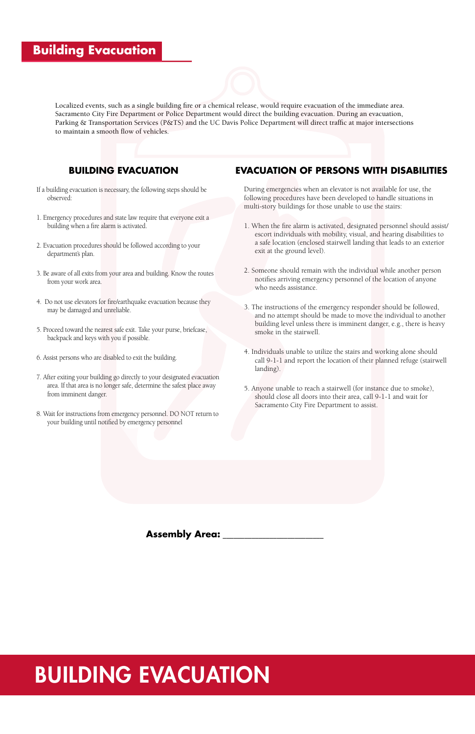Localized events, such as a single building fire or a chemical release, would require evacuation of the immediate area. Sacramento City Fire Department or Police Department would direct the building evacuation. During an evacuation, Parking & Transportation Services (P&TS) and the UC Davis Police Department will direct traffic at major intersections to maintain a smooth flow of vehicles.

### BUILDING EVACUATION

#### **Building Evacuation**

#### **BUILDING EVACUATION**

- If a building evacuation is necessary, the following steps should be observed:
- 1. Emergency procedures and state law require that everyone exit a building when a fire alarm is activated.
- 2. Evacuation procedures should be followed according to your department's plan.
- 3. Be aware of all exits from your area and building. Know the routes from your work area.
- 4. Do not use elevators for fire/earthquake evacuation because they may be damaged and unreliable.
- 5. Proceed toward the nearest safe exit. Take your purse, briefcase, backpack and keys with you if possible.
- 6. Assist persons who are disabled to exit the building.
- 7. After exiting your building go directly to your designated evacuation area. If that area is no longer safe, determine the safest place away from imminent danger.
- 8. Wait for instructions from emergency personnel. DO NOT return to your building until notified by emergency personnel

#### **EVACUATION OF PERSONS WITH DISABILITIES**

During emergencies when an elevator is not available for use, the following procedures have been developed to handle situations in multi-story buildings for those unable to use the stairs:

- 1. When the fire alarm is activated, designated personnel should assist/ escort individuals with mobility, visual, and hearing disabilities to a safe location (enclosed stairwell landing that leads to an exterior exit at the ground level).
- 2. Someone should remain with the individual while another person notifies arriving emergency personnel of the location of anyone who needs assistance.
- 3. The instructions of the emergency responder should be followed, and no attempt should be made to move the individual to another building level unless there is imminent danger, e.g., there is heavy smoke in the stairwell.
- 4. Individuals unable to utilize the stairs and working alone should call 9-1-1 and report the location of their planned refuge (stairwell landing).
- 5. Anyone unable to reach a stairwell (for instance due to smoke), should close all doors into their area, call 9-1-1 and wait for Sacramento City Fire Department to assist.

#### **Assembly Area:**